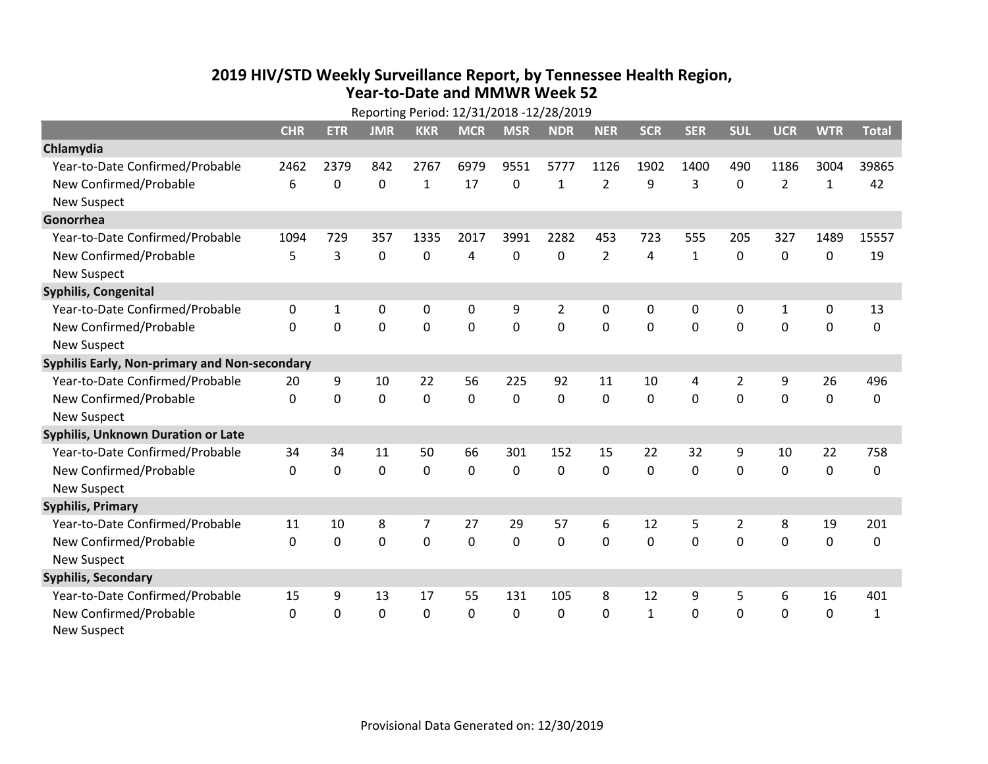## **2019 HIV /STD Weekly Surveillance Report, by Tennessee Health Region, Year‐to‐Date and MMWR Week 52** Reporting Period: 12/31/2018 ‐12/28/2019

|                                               | Reporting Period: 12/31/2018 -12/28/2019 |             |             |                |              |                |                |                |              |              |                |                |              |              |
|-----------------------------------------------|------------------------------------------|-------------|-------------|----------------|--------------|----------------|----------------|----------------|--------------|--------------|----------------|----------------|--------------|--------------|
|                                               | <b>CHR</b>                               | <b>ETR</b>  | <b>JMR</b>  | <b>KKR</b>     | <b>MCR</b>   | <b>MSR</b>     | <b>NDR</b>     | <b>NER</b>     | <b>SCR</b>   | <b>SER</b>   | <b>SUL</b>     | <b>UCR</b>     | <b>WTR</b>   | <b>Total</b> |
| Chlamydia                                     |                                          |             |             |                |              |                |                |                |              |              |                |                |              |              |
| Year-to-Date Confirmed/Probable               | 2462                                     | 2379        | 842         | 2767           | 6979         | 9551           | 5777           | 1126           | 1902         | 1400         | 490            | 1186           | 3004         | 39865        |
| New Confirmed/Probable                        | 6                                        | 0           | 0           | 1              | 17           | 0              | $\mathbf{1}$   | $\overline{2}$ | 9            | 3            | 0              | $\overline{2}$ | $\mathbf{1}$ | 42           |
| <b>New Suspect</b>                            |                                          |             |             |                |              |                |                |                |              |              |                |                |              |              |
| Gonorrhea                                     |                                          |             |             |                |              |                |                |                |              |              |                |                |              |              |
| Year-to-Date Confirmed/Probable               | 1094                                     | 729         | 357         | 1335           | 2017         | 3991           | 2282           | 453            | 723          | 555          | 205            | 327            | 1489         | 15557        |
| New Confirmed/Probable                        | 5                                        | 3           | $\mathbf 0$ | 0              | 4            | 0              | 0              | $\overline{2}$ | 4            | $\mathbf{1}$ | 0              | 0              | 0            | 19           |
| <b>New Suspect</b>                            |                                          |             |             |                |              |                |                |                |              |              |                |                |              |              |
| <b>Syphilis, Congenital</b>                   |                                          |             |             |                |              |                |                |                |              |              |                |                |              |              |
| Year-to-Date Confirmed/Probable               | 0                                        | 1           | 0           | 0              | $\mathbf 0$  | 9              | $\overline{2}$ | 0              | 0            | 0            | 0              | $\mathbf{1}$   | 0            | 13           |
| New Confirmed/Probable                        | $\mathbf{0}$                             | 0           | 0           | 0              | $\mathbf 0$  | $\overline{0}$ | 0              | $\mathbf 0$    | $\mathbf{0}$ | 0            | 0              | 0              | $\mathbf 0$  | 0            |
| <b>New Suspect</b>                            |                                          |             |             |                |              |                |                |                |              |              |                |                |              |              |
| Syphilis Early, Non-primary and Non-secondary |                                          |             |             |                |              |                |                |                |              |              |                |                |              |              |
| Year-to-Date Confirmed/Probable               | 20                                       | 9           | 10          | 22             | 56           | 225            | 92             | 11             | 10           | 4            | 2              | 9              | 26           | 496          |
| New Confirmed/Probable                        | $\Omega$                                 | 0           | $\Omega$    | 0              | $\mathbf 0$  | $\mathbf 0$    | $\Omega$       | $\Omega$       | $\Omega$     | $\Omega$     | $\Omega$       | $\Omega$       | $\mathbf 0$  | 0            |
| <b>New Suspect</b>                            |                                          |             |             |                |              |                |                |                |              |              |                |                |              |              |
| Syphilis, Unknown Duration or Late            |                                          |             |             |                |              |                |                |                |              |              |                |                |              |              |
| Year-to-Date Confirmed/Probable               | 34                                       | 34          | 11          | 50             | 66           | 301            | 152            | 15             | 22           | 32           | 9              | 10             | 22           | 758          |
| New Confirmed/Probable                        | $\Omega$                                 | $\Omega$    | 0           | 0              | $\mathbf 0$  | $\Omega$       | $\Omega$       | $\Omega$       | $\Omega$     | $\Omega$     | $\Omega$       | 0              | $\mathbf 0$  | 0            |
| <b>New Suspect</b>                            |                                          |             |             |                |              |                |                |                |              |              |                |                |              |              |
| <b>Syphilis, Primary</b>                      |                                          |             |             |                |              |                |                |                |              |              |                |                |              |              |
| Year-to-Date Confirmed/Probable               | 11                                       | 10          | 8           | $\overline{7}$ | 27           | 29             | 57             | 6              | 12           | 5            | $\overline{2}$ | 8              | 19           | 201          |
| New Confirmed/Probable                        | $\Omega$                                 | $\mathbf 0$ | 0           | 0              | $\mathbf 0$  | 0              | 0              | $\Omega$       | $\Omega$     | $\Omega$     | $\Omega$       | $\Omega$       | $\mathbf{0}$ | 0            |
| <b>New Suspect</b>                            |                                          |             |             |                |              |                |                |                |              |              |                |                |              |              |
| <b>Syphilis, Secondary</b>                    |                                          |             |             |                |              |                |                |                |              |              |                |                |              |              |
| Year-to-Date Confirmed/Probable               | 15                                       | 9           | 13          | 17             | 55           | 131            | 105            | 8              | 12           | 9            | 5              | 6              | 16           | 401          |
| New Confirmed/Probable                        | $\mathbf{0}$                             | 0           | 0           | 0              | $\mathbf{0}$ | 0              | 0              | $\Omega$       | $\mathbf{1}$ | 0            | 0              | 0              | $\mathbf 0$  | 1            |
| <b>New Suspect</b>                            |                                          |             |             |                |              |                |                |                |              |              |                |                |              |              |